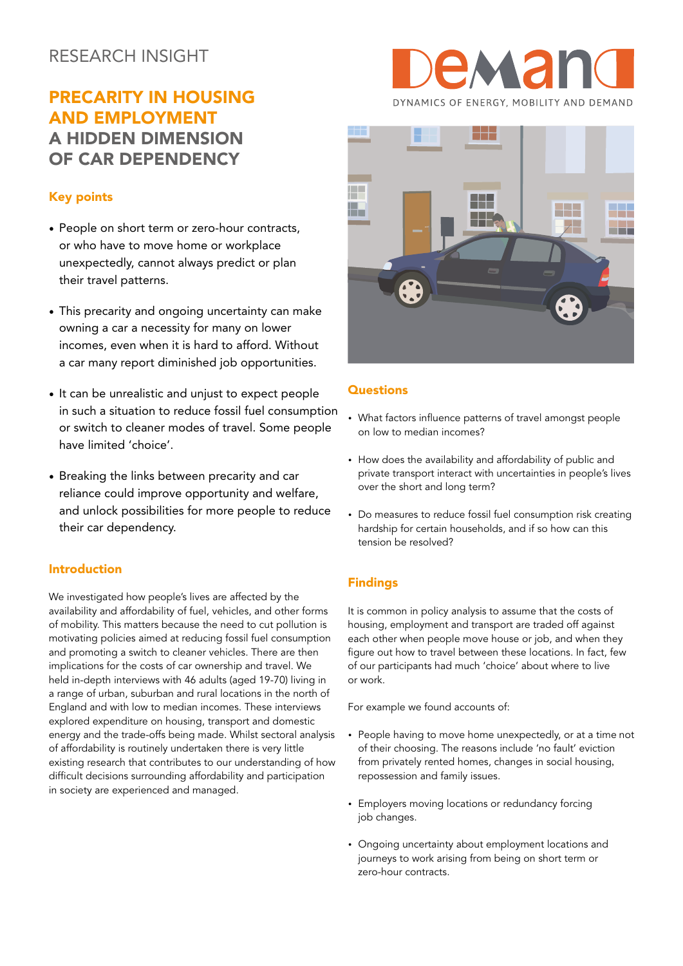# RESEARCH INSIGHT

# PRECARITY IN HOUSING AND EMPLOYMENT A HIDDEN DIMENSION OF CAR DEPENDENCY

## Key points

- People on short term or zero-hour contracts, or who have to move home or workplace unexpectedly, cannot always predict or plan their travel patterns.
- This precarity and ongoing uncertainty can make owning a car a necessity for many on lower incomes, even when it is hard to afford. Without a car many report diminished job opportunities.
- It can be unrealistic and unjust to expect people in such a situation to reduce fossil fuel consumption or switch to cleaner modes of travel. Some people have limited 'choice'.
- Breaking the links between precarity and car reliance could improve opportunity and welfare, and unlock possibilities for more people to reduce their car dependency.

#### Introduction

We investigated how people's lives are affected by the availability and affordability of fuel, vehicles, and other forms of mobility. This matters because the need to cut pollution is motivating policies aimed at reducing fossil fuel consumption and promoting a switch to cleaner vehicles. There are then implications for the costs of car ownership and travel. We held in-depth interviews with 46 adults (aged 19-70) living in a range of urban, suburban and rural locations in the north of England and with low to median incomes. These interviews explored expenditure on housing, transport and domestic energy and the trade-offs being made. Whilst sectoral analysis of affordability is routinely undertaken there is very little existing research that contributes to our understanding of how difficult decisions surrounding affordability and participation in society are experienced and managed.





#### **Questions**

- What factors influence patterns of travel amongst people on low to median incomes?
- How does the availability and affordability of public and private transport interact with uncertainties in people's lives over the short and long term?
- Do measures to reduce fossil fuel consumption risk creating hardship for certain households, and if so how can this tension be resolved?

## **Findings**

It is common in policy analysis to assume that the costs of housing, employment and transport are traded off against each other when people move house or job, and when they figure out how to travel between these locations. In fact, few of our participants had much 'choice' about where to live or work.

For example we found accounts of:

- People having to move home unexpectedly, or at a time not of their choosing. The reasons include 'no fault' eviction from privately rented homes, changes in social housing, repossession and family issues.
- Employers moving locations or redundancy forcing job changes.
- Ongoing uncertainty about employment locations and journeys to work arising from being on short term or zero-hour contracts.